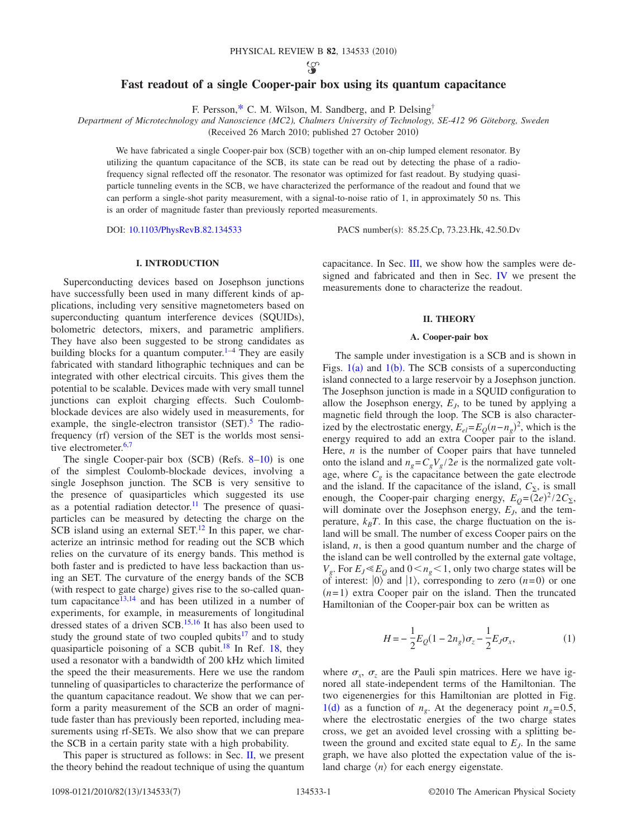ယ္စ

# **Fast readout of a single Cooper-pair box using its quantum capacitance**

F. Persson[,\\*](#page-6-0) C. M. Wilson, M. Sandberg, and P. Delsin[g†](#page-6-1)

*Department of Microtechnology and Nanoscience (MC2), Chalmers University of Technology, SE-412 96 Göteborg, Sweden*

(Received 26 March 2010; published 27 October 2010)

We have fabricated a single Cooper-pair box (SCB) together with an on-chip lumped element resonator. By utilizing the quantum capacitance of the SCB, its state can be read out by detecting the phase of a radiofrequency signal reflected off the resonator. The resonator was optimized for fast readout. By studying quasiparticle tunneling events in the SCB, we have characterized the performance of the readout and found that we can perform a single-shot parity measurement, with a signal-to-noise ratio of 1, in approximately 50 ns. This is an order of magnitude faster than previously reported measurements.

DOI: [10.1103/PhysRevB.82.134533](http://dx.doi.org/10.1103/PhysRevB.82.134533)

PACS number(s): 85.25.Cp, 73.23.Hk, 42.50.Dv

## **I. INTRODUCTION**

Superconducting devices based on Josephson junctions have successfully been used in many different kinds of applications, including very sensitive magnetometers based on superconducting quantum interference devices (SQUIDs), bolometric detectors, mixers, and parametric amplifiers. They have also been suggested to be strong candidates as building blocks for a quantum computer. $1-4$  $1-4$  They are easily fabricated with standard lithographic techniques and can be integrated with other electrical circuits. This gives them the potential to be scalable. Devices made with very small tunnel junctions can exploit charging effects. Such Coulombblockade devices are also widely used in measurements, for example, the single-electron transistor  $(SET)$ .<sup>[5](#page-6-4)</sup> The radiofrequency (rf) version of the SET is the worlds most sensi-tive electrometer.<sup>6,[7](#page-6-6)</sup>

The single Cooper-pair box  $(SCB)$  (Refs.  $8-10$  $8-10$ ) is one of the simplest Coulomb-blockade devices, involving a single Josephson junction. The SCB is very sensitive to the presence of quasiparticles which suggested its use as a potential radiation detector.<sup>11</sup> The presence of quasiparticles can be measured by detecting the charge on the SCB island using an external SET.<sup>12</sup> In this paper, we characterize an intrinsic method for reading out the SCB which relies on the curvature of its energy bands. This method is both faster and is predicted to have less backaction than using an SET. The curvature of the energy bands of the SCB (with respect to gate charge) gives rise to the so-called quantum capacitance $^{13,14}$  $^{13,14}$  $^{13,14}$  and has been utilized in a number of experiments, for example, in measurements of longitudinal dressed states of a driven SCB[.15](#page-6-13)[,16](#page-6-14) It has also been used to study the ground state of two coupled qubits $17$  and to study quasiparticle poisoning of a SCB qubit.<sup>18</sup> In Ref. [18,](#page-6-16) they used a resonator with a bandwidth of 200 kHz which limited the speed the their measurements. Here we use the random tunneling of quasiparticles to characterize the performance of the quantum capacitance readout. We show that we can perform a parity measurement of the SCB an order of magnitude faster than has previously been reported, including measurements using rf-SETs. We also show that we can prepare the SCB in a certain parity state with a high probability.

This paper is structured as follows: in Sec. [II,](#page-0-0) we present the theory behind the readout technique of using the quantum capacitance. In Sec.  $III$ , we show how the samples were designed and fabricated and then in Sec. [IV](#page-2-1) we present the measurements done to characterize the readout.

### **II. THEORY**

#### **A. Cooper-pair box**

<span id="page-0-0"></span>The sample under investigation is a SCB and is shown in Figs.  $1(a)$  $1(a)$  and  $1(b)$ . The SCB consists of a superconducting island connected to a large reservoir by a Josephson junction. The Josephson junction is made in a SQUID configuration to allow the Josephson energy,  $E_J$ , to be tuned by applying a magnetic field through the loop. The SCB is also characterized by the electrostatic energy,  $E_{el} = E_Q(n - n_g)^2$ , which is the energy required to add an extra Cooper pair to the island. Here, *n* is the number of Cooper pairs that have tunneled onto the island and  $n_g = C_g V_g / 2e$  is the normalized gate voltage, where  $C_g$  is the capacitance between the gate electrode and the island. If the capacitance of the island,  $C_{\Sigma}$ , is small enough, the Cooper-pair charging energy,  $E_Q = (2e)^2 / 2C_{\Sigma}$ , will dominate over the Josephson energy,  $E<sub>J</sub>$ , and the temperature,  $k_B T$ . In this case, the charge fluctuation on the island will be small. The number of excess Cooper pairs on the island, *n*, is then a good quantum number and the charge of the island can be well controlled by the external gate voltage,  $V_g$ . For  $E_J \ll E_Q$  and  $0 \ll n_g \ll 1$ , only two charge states will be of interest:  $|0\rangle$  and  $|1\rangle$ , corresponding to zero  $(n=0)$  or one  $(n=1)$  extra Cooper pair on the island. Then the truncated Hamiltonian of the Cooper-pair box can be written as

$$
H = -\frac{1}{2}E_Q(1 - 2n_g)\sigma_z - \frac{1}{2}E_J\sigma_x, \tag{1}
$$

where  $\sigma_x$ ,  $\sigma_z$  are the Pauli spin matrices. Here we have ignored all state-independent terms of the Hamiltonian. The two eigenenergies for this Hamiltonian are plotted in Fig. [1](#page-1-0)(d) as a function of  $n_g$ . At the degeneracy point  $n_g$ =0.5, where the electrostatic energies of the two charge states cross, we get an avoided level crossing with a splitting between the ground and excited state equal to  $E_J$ . In the same graph, we have also plotted the expectation value of the island charge  $\langle n \rangle$  for each energy eigenstate.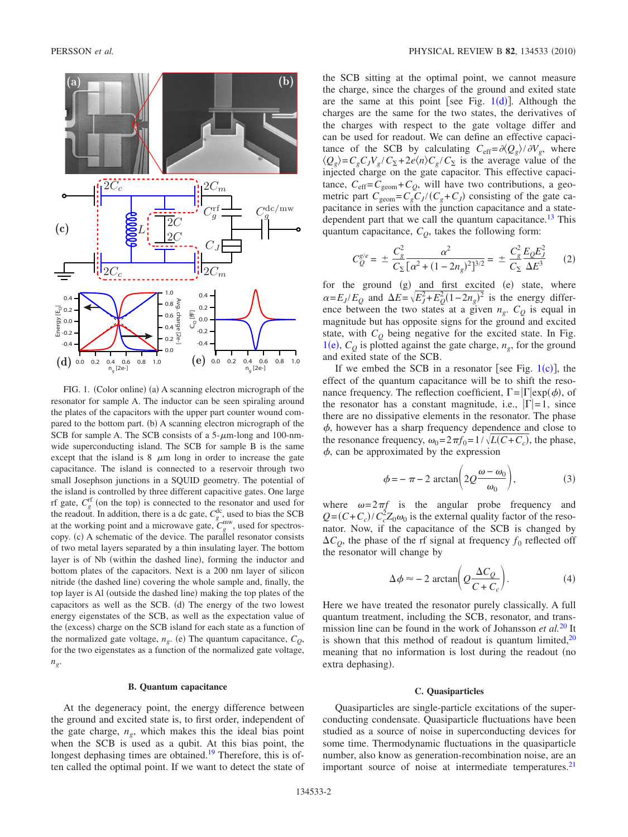<span id="page-1-0"></span>

FIG. 1. (Color online) (a) A scanning electron micrograph of the resonator for sample A. The inductor can be seen spiraling around the plates of the capacitors with the upper part counter wound compared to the bottom part. (b) A scanning electron micrograph of the SCB for sample A. The SCB consists of a  $5-\mu$ m-long and 100-nmwide superconducting island. The SCB for sample B is the same except that the island is  $8 \mu m$  long in order to increase the gate capacitance. The island is connected to a reservoir through two small Josephson junctions in a SQUID geometry. The potential of the island is controlled by three different capacitive gates. One large rf gate,  $C_g^{\text{rf}}$  (on the top) is connected to the resonator and used for the readout. In addition, there is a dc gate,  $C_g^{\text{dc}}$ , used to bias the SCB at the working point and a microwave gate,  $C_g^{\text{mw}}$ , used for spectroscopy. (c) A schematic of the device. The parallel resonator consists of two metal layers separated by a thin insulating layer. The bottom layer is of Nb (within the dashed line), forming the inductor and bottom plates of the capacitors. Next is a 200 nm layer of silicon nitride (the dashed line) covering the whole sample and, finally, the top layer is Al (outside the dashed line) making the top plates of the capacitors as well as the SCB. (d) The energy of the two lowest energy eigenstates of the SCB, as well as the expectation value of the (excess) charge on the SCB island for each state as a function of the normalized gate voltage,  $n_g$ . (e) The quantum capacitance,  $C_Q$ , for the two eigenstates as a function of the normalized gate voltage, *ng*.

## **B. Quantum capacitance**

At the degeneracy point, the energy difference between the ground and excited state is, to first order, independent of the gate charge,  $n_g$ , which makes this the ideal bias point when the SCB is used as a qubit. At this bias point, the longest dephasing times are obtained.<sup>19</sup> Therefore, this is often called the optimal point. If we want to detect the state of the SCB sitting at the optimal point, we cannot measure the charge, since the charges of the ground and exited state are the same at this point [see Fig.  $1(d)$  $1(d)$ ]. Although the charges are the same for the two states, the derivatives of the charges with respect to the gate voltage differ and can be used for readout. We can define an effective capacitance of the SCB by calculating  $C_{\text{eff}} = \partial \langle Q_g \rangle / \partial V_g$ , where  $\langle Q_g \rangle = C_g C_J V_g / C_\Sigma + 2e \langle n \rangle C_g / C_\Sigma$  is the average value of the injected charge on the gate capacitor. This effective capacitance,  $C_{\text{eff}} = C_{\text{geom}} + C_Q$ , will have two contributions, a geometric part  $C_{\text{geom}} = C_g C_J / (C_g + C_J)$  consisting of the gate capacitance in series with the junction capacitance and a statedependent part that we call the quantum capacitance.<sup>13</sup> This quantum capacitance,  $C<sub>O</sub>$ , takes the following form:

$$
C_Q^{g/e} = \pm \frac{C_g^2}{C_\Sigma} \frac{\alpha^2}{[\alpha^2 + (1 - 2n_g)^2]^{3/2}} = \pm \frac{C_g^2}{C_\Sigma} \frac{E_Q E_J^2}{\Delta E^3}
$$
 (2)

for the ground (g) and first excited (e) state, where  $\alpha = E_J/E_Q$  and  $\Delta E = \sqrt{E_J^2 + E_Q^2 (1 - 2n_g)^2}$  is the energy difference between the two states at a given  $n_g$ .  $C_Q$  is equal in magnitude but has opposite signs for the ground and excited state, with  $C_Q$  being negative for the excited state. In Fig. [1](#page-1-0)(e),  $C_Q$  is plotted against the gate charge,  $n_g$ , for the ground and exited state of the SCB.

If we embed the SCB in a resonator [see Fig.  $1(c)$  $1(c)$ ], the effect of the quantum capacitance will be to shift the resonance frequency. The reflection coefficient,  $\Gamma = |\Gamma| \exp(\phi)$ , of the resonator has a constant magnitude, i.e.,  $|\Gamma|=1$ , since there are no dissipative elements in the resonator. The phase  $\phi$ , however has a sharp frequency dependence and close to the resonance frequency,  $\omega_0 = 2\pi f_0 = 1/\sqrt{L(C+C_c)}$ , the phase,  $\phi$ , can be approximated by the expression

$$
\phi = -\pi - 2 \arctan\left(2Q \frac{\omega - \omega_0}{\omega_0}\right),\tag{3}
$$

where  $\omega = 2\pi f$  is the angular probe frequency and  $Q = (C + C_c)/C_c^2 Z_0 \omega_0$  is the external quality factor of the resonator. Now, if the capacitance of the SCB is changed by  $\Delta C_Q$ , the phase of the rf signal at frequency  $f_0$  reflected off the resonator will change by

$$
\Delta \phi \approx -2 \arctan\bigg(Q \frac{\Delta C_Q}{C + C_c}\bigg). \tag{4}
$$

<span id="page-1-1"></span>Here we have treated the resonator purely classically. A full quantum treatment, including the SCB, resonator, and transmission line can be found in the work of Johansson *et al.*[20](#page-6-18) It is shown that this method of readout is quantum limited, $20$ meaning that no information is lost during the readout (no extra dephasing).

#### **C. Quasiparticles**

Quasiparticles are single-particle excitations of the superconducting condensate. Quasiparticle fluctuations have been studied as a source of noise in superconducting devices for some time. Thermodynamic fluctuations in the quasiparticle number, also know as generation-recombination noise, are an important source of noise at intermediate temperatures.<sup>21</sup>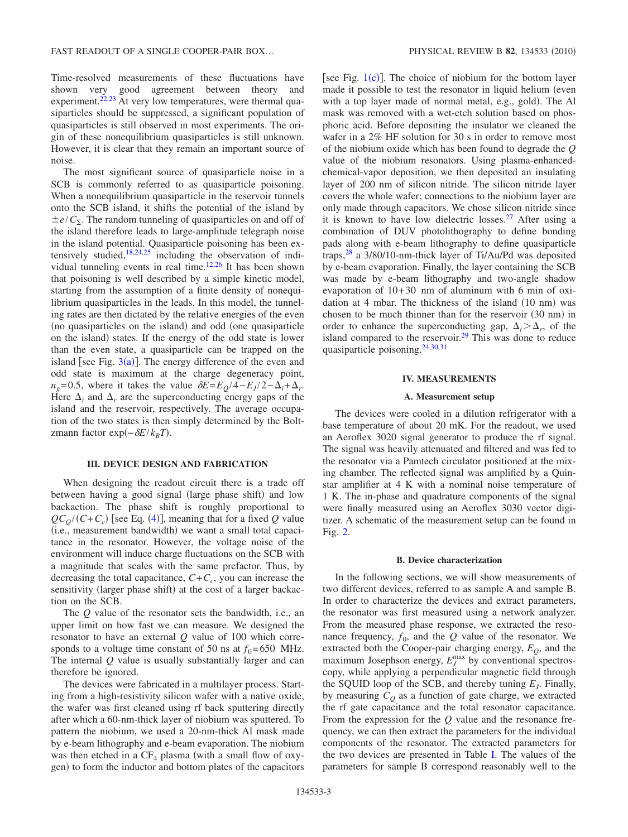Time-resolved measurements of these fluctuations have shown very good agreement between theory and experiment.<sup>22,[23](#page-6-21)</sup> At very low temperatures, were thermal quasiparticles should be suppressed, a significant population of quasiparticles is still observed in most experiments. The origin of these nonequilibrium quasiparticles is still unknown. However, it is clear that they remain an important source of noise.

The most significant source of quasiparticle noise in a SCB is commonly referred to as quasiparticle poisoning. When a nonequilibrium quasiparticle in the reservoir tunnels onto the SCB island, it shifts the potential of the island by  $\pm e/C_{\Sigma}$ . The random tunneling of quasiparticles on and off of the island therefore leads to large-amplitude telegraph noise in the island potential. Quasiparticle poisoning has been extensively studied[,18,](#page-6-16)[24,](#page-6-22)[25](#page-6-23) including the observation of indi-vidual tunneling events in real time.<sup>12[,26](#page-6-24)</sup> It has been shown that poisoning is well described by a simple kinetic model, starting from the assumption of a finite density of nonequilibrium quasiparticles in the leads. In this model, the tunneling rates are then dictated by the relative energies of the even (no quasiparticles on the island) and odd (one quasiparticle on the island) states. If the energy of the odd state is lower than the even state, a quasiparticle can be trapped on the island [see Fig.  $3(a)$  $3(a)$ ]. The energy difference of the even and odd state is maximum at the charge degeneracy point,  $n_e$ =0.5, where it takes the value  $\delta E = E_Q/4 - E_J/2 - \Delta_i + \Delta_r$ . Here  $\Delta_i$  and  $\Delta_r$  are the superconducting energy gaps of the island and the reservoir, respectively. The average occupation of the two states is then simply determined by the Boltzmann factor exp− *E*/*kBT*-.

#### **III. DEVICE DESIGN AND FABRICATION**

<span id="page-2-0"></span>When designing the readout circuit there is a trade off between having a good signal (large phase shift) and low backaction. The phase shift is roughly proportional to  $QC_Q$ / $(C+C_c)$  [see Eq. ([4](#page-1-1))], meaning that for a fixed *Q* value (i.e., measurement bandwidth) we want a small total capacitance in the resonator. However, the voltage noise of the environment will induce charge fluctuations on the SCB with a magnitude that scales with the same prefactor. Thus, by decreasing the total capacitance,  $C + C_c$ , you can increase the sensitivity (larger phase shift) at the cost of a larger backaction on the SCB.

The *Q* value of the resonator sets the bandwidth, i.e., an upper limit on how fast we can measure. We designed the resonator to have an external *Q* value of 100 which corresponds to a voltage time constant of 50 ns at  $f_0$ =650 MHz. The internal *Q* value is usually substantially larger and can therefore be ignored.

The devices were fabricated in a multilayer process. Starting from a high-resistivity silicon wafer with a native oxide, the wafer was first cleaned using rf back sputtering directly after which a 60-nm-thick layer of niobium was sputtered. To pattern the niobium, we used a 20-nm-thick Al mask made by e-beam lithography and e-beam evaporation. The niobium was then etched in a  $CF_4$  plasma (with a small flow of oxygen) to form the inductor and bottom plates of the capacitors

[see Fig.  $1(c)$  $1(c)$ ]. The choice of niobium for the bottom layer made it possible to test the resonator in liquid helium (even with a top layer made of normal metal, e.g., gold). The Al mask was removed with a wet-etch solution based on phosphoric acid. Before depositing the insulator we cleaned the wafer in a 2% HF solution for 30 s in order to remove most of the niobium oxide which has been found to degrade the *Q* value of the niobium resonators. Using plasma-enhancedchemical-vapor deposition, we then deposited an insulating layer of 200 nm of silicon nitride. The silicon nitride layer covers the whole wafer; connections to the niobium layer are only made through capacitors. We chose silicon nitride since it is known to have low dielectric losses.<sup>27</sup> After using a combination of DUV photolithography to define bonding pads along with e-beam lithography to define quasiparticle traps, $^{28}$  $^{28}$  $^{28}$  a 3/80/10-nm-thick layer of Ti/Au/Pd was deposited by e-beam evaporation. Finally, the layer containing the SCB was made by e-beam lithography and two-angle shadow evaporation of 10+30 nm of aluminum with 6 min of oxidation at 4 mbar. The thickness of the island  $(10 \text{ nm})$  was chosen to be much thinner than for the reservoir (30 nm) in order to enhance the superconducting gap,  $\Delta_i > \Delta_r$ , of the island compared to the reservoir. $29$  This was done to reduce quasiparticle poisoning[.24,](#page-6-22)[30,](#page-6-28)[31](#page-6-29)

### **IV. MEASUREMENTS**

#### **A. Measurement setup**

<span id="page-2-1"></span>The devices were cooled in a dilution refrigerator with a base temperature of about 20 mK. For the readout, we used an Aeroflex 3020 signal generator to produce the rf signal. The signal was heavily attenuated and filtered and was fed to the resonator via a Pamtech circulator positioned at the mixing chamber. The reflected signal was amplified by a Quinstar amplifier at 4 K with a nominal noise temperature of 1 K. The in-phase and quadrature components of the signal were finally measured using an Aeroflex 3030 vector digitizer. A schematic of the measurement setup can be found in Fig. [2.](#page-3-0)

#### **B. Device characterization**

In the following sections, we will show measurements of two different devices, referred to as sample A and sample B. In order to characterize the devices and extract parameters, the resonator was first measured using a network analyzer. From the measured phase response, we extracted the resonance frequency,  $f_0$ , and the  $Q$  value of the resonator. We extracted both the Cooper-pair charging energy,  $E<sub>O</sub>$ , and the maximum Josephson energy,  $E_J^{\text{max}}$  by conventional spectroscopy, while applying a perpendicular magnetic field through the SQUID loop of the SCB, and thereby tuning  $E_j$ . Finally, by measuring  $C_Q$  as a function of gate charge, we extracted the rf gate capacitance and the total resonator capacitance. From the expression for the *Q* value and the resonance frequency, we can then extract the parameters for the individual components of the resonator. The extracted parameters for the two devices are presented in Table [I.](#page-3-1) The values of the parameters for sample B correspond reasonably well to the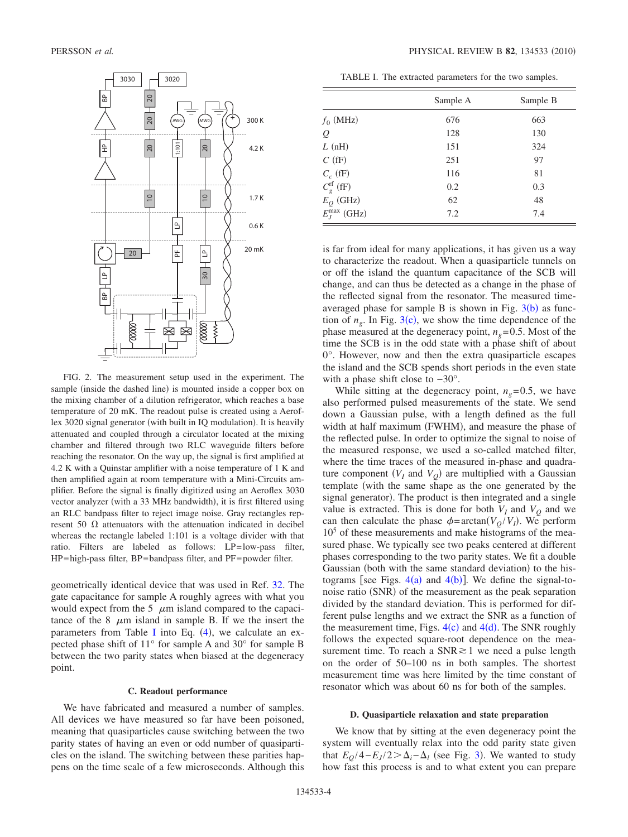<span id="page-3-0"></span>

FIG. 2. The measurement setup used in the experiment. The sample (inside the dashed line) is mounted inside a copper box on the mixing chamber of a dilution refrigerator, which reaches a base temperature of 20 mK. The readout pulse is created using a Aeroflex 3020 signal generator (with built in IQ modulation). It is heavily attenuated and coupled through a circulator located at the mixing chamber and filtered through two RLC waveguide filters before reaching the resonator. On the way up, the signal is first amplified at 4.2 K with a Quinstar amplifier with a noise temperature of 1 K and then amplified again at room temperature with a Mini-Circuits amplifier. Before the signal is finally digitized using an Aeroflex 3030 vector analyzer (with a 33 MHz bandwidth), it is first filtered using an RLC bandpass filter to reject image noise. Gray rectangles represent 50  $\Omega$  attenuators with the attenuation indicated in decibel whereas the rectangle labeled 1:101 is a voltage divider with that ratio. Filters are labeled as follows: LP=low-pass filter, HP=high-pass filter, BP=bandpass filter, and PF=powder filter.

geometrically identical device that was used in Ref. [32.](#page-6-30) The gate capacitance for sample A roughly agrees with what you would expect from the 5  $\mu$ m island compared to the capacitance of the  $8 \mu m$  island in sample B. If we the insert the parameters from Table [I](#page-3-1) into Eq.  $(4)$  $(4)$  $(4)$ , we calculate an expected phase shift of 11° for sample A and 30° for sample B between the two parity states when biased at the degeneracy point.

#### **C. Readout performance**

We have fabricated and measured a number of samples. All devices we have measured so far have been poisoned, meaning that quasiparticles cause switching between the two parity states of having an even or odd number of quasiparticles on the island. The switching between these parities happens on the time scale of a few microseconds. Although this

<span id="page-3-1"></span>TABLE I. The extracted parameters for the two samples.

|                     | Sample A | Sample B |
|---------------------|----------|----------|
| $f_0$ (MHz)         | 676      | 663      |
| Q                   | 128      | 130      |
| L(nH)               | 151      | 324      |
| $C$ (fF)            | 251      | 97       |
| $C_c$ (fF)          | 116      | 81       |
| $C_g^{\rm rf}$ (fF) | 0.2      | 0.3      |
| $E_Q$ (GHz)         | 62       | 48       |
| $E_I^{\max}$ (GHz)  | 7.2      | 7.4      |

is far from ideal for many applications, it has given us a way to characterize the readout. When a quasiparticle tunnels on or off the island the quantum capacitance of the SCB will change, and can thus be detected as a change in the phase of the reflected signal from the resonator. The measured timeaveraged phase for sample B is shown in Fig.  $3(b)$  $3(b)$  as function of  $n_g$ . In Fig. [3](#page-4-0)(c), we show the time dependence of the phase measured at the degeneracy point,  $n_e$ =0.5. Most of the time the SCB is in the odd state with a phase shift of about 0°. However, now and then the extra quasiparticle escapes the island and the SCB spends short periods in the even state with a phase shift close to −30°.

While sitting at the degeneracy point,  $n_e = 0.5$ , we have also performed pulsed measurements of the state. We send down a Gaussian pulse, with a length defined as the full width at half maximum (FWHM), and measure the phase of the reflected pulse. In order to optimize the signal to noise of the measured response, we used a so-called matched filter, where the time traces of the measured in-phase and quadrature component  $(V_I \text{ and } V_Q)$  are multiplied with a Gaussian template (with the same shape as the one generated by the signal generator). The product is then integrated and a single value is extracted. This is done for both  $V_I$  and  $V_O$  and we can then calculate the phase  $\phi = \arctan(V_Q/V_I)$ . We perform  $10<sup>5</sup>$  of these measurements and make histograms of the measured phase. We typically see two peaks centered at different phases corresponding to the two parity states. We fit a double Gaussian (both with the same standard deviation) to the histograms [see Figs.  $4(a)$  $4(a)$  and  $4(b)$ ]. We define the signal-tonoise ratio (SNR) of the measurement as the peak separation divided by the standard deviation. This is performed for different pulse lengths and we extract the SNR as a function of the measurement time, Figs.  $4(c)$  $4(c)$  and  $4(d)$ . The SNR roughly follows the expected square-root dependence on the measurement time. To reach a  $SNR \gtrsim 1$  we need a pulse length on the order of 50–100 ns in both samples. The shortest measurement time was here limited by the time constant of resonator which was about 60 ns for both of the samples.

### **D. Quasiparticle relaxation and state preparation**

We know that by sitting at the even degeneracy point the system will eventually relax into the odd parity state given that  $E_Q/4 - E_J/2 > \Delta_i - \Delta_l$  (see Fig. [3](#page-4-0)). We wanted to study how fast this process is and to what extent you can prepare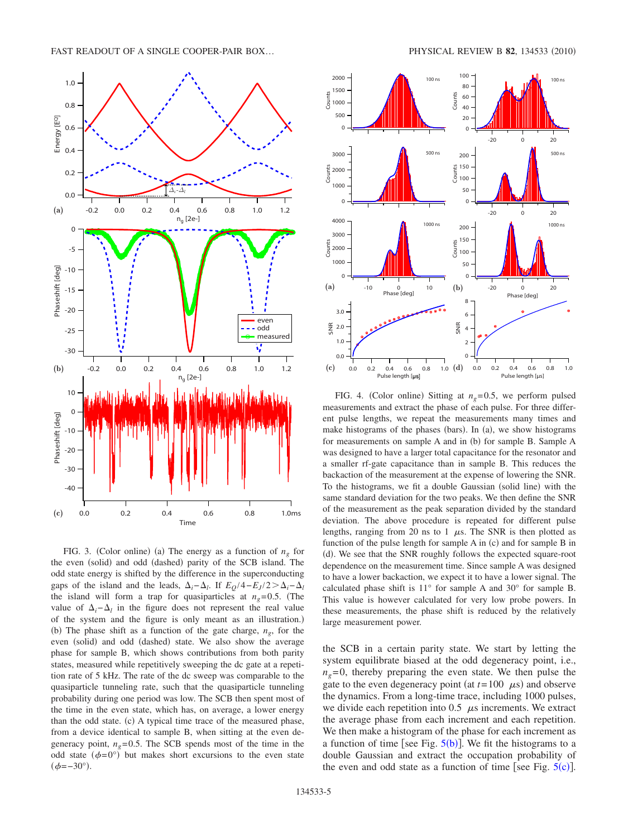<span id="page-4-0"></span>

FIG. 3. (Color online) (a) The energy as a function of  $n_g$  for the even (solid) and odd (dashed) parity of the SCB island. The odd state energy is shifted by the difference in the superconducting gaps of the island and the leads,  $\Delta_i - \Delta_l$ . If  $E_O/4 - E_J/2 > \Delta_i - \Delta_l$ the island will form a trap for quasiparticles at  $n<sub>g</sub>=0.5$ . (The value of  $\Delta_i - \Delta_l$  in the figure does not represent the real value of the system and the figure is only meant as an illustration.) (b) The phase shift as a function of the gate charge,  $n_g$ , for the even (solid) and odd (dashed) state. We also show the average phase for sample B, which shows contributions from both parity states, measured while repetitively sweeping the dc gate at a repetition rate of 5 kHz. The rate of the dc sweep was comparable to the quasiparticle tunneling rate, such that the quasiparticle tunneling probability during one period was low. The SCB then spent most of the time in the even state, which has, on average, a lower energy than the odd state. (c) A typical time trace of the measured phase, from a device identical to sample B, when sitting at the even degeneracy point,  $n_e$ =0.5. The SCB spends most of the time in the odd state  $(\phi = 0^{\circ})$  but makes short excursions to the even state  $(\phi = -30^{\circ}).$ 

<span id="page-4-1"></span>

FIG. 4. (Color online) Sitting at  $n<sub>g</sub> = 0.5$ , we perform pulsed measurements and extract the phase of each pulse. For three different pulse lengths, we repeat the measurements many times and make histograms of the phases (bars). In (a), we show histograms for measurements on sample A and in (b) for sample B. Sample A was designed to have a larger total capacitance for the resonator and a smaller rf-gate capacitance than in sample B. This reduces the backaction of the measurement at the expense of lowering the SNR. To the histograms, we fit a double Gaussian (solid line) with the same standard deviation for the two peaks. We then define the SNR of the measurement as the peak separation divided by the standard deviation. The above procedure is repeated for different pulse lengths, ranging from 20 ns to 1  $\mu$ s. The SNR is then plotted as function of the pulse length for sample A in (c) and for sample B in (d). We see that the SNR roughly follows the expected square-root dependence on the measurement time. Since sample A was designed to have a lower backaction, we expect it to have a lower signal. The calculated phase shift is 11° for sample A and 30° for sample B. This value is however calculated for very low probe powers. In these measurements, the phase shift is reduced by the relatively large measurement power.

the SCB in a certain parity state. We start by letting the system equilibrate biased at the odd degeneracy point, i.e.,  $n_e = 0$ , thereby preparing the even state. We then pulse the gate to the even degeneracy point (at  $t = 100 \mu s$ ) and observe the dynamics. From a long-time trace, including 1000 pulses, we divide each repetition into  $0.5$   $\mu$ s increments. We extract the average phase from each increment and each repetition. We then make a histogram of the phase for each increment as a function of time [see Fig.  $5(b)$  $5(b)$ ]. We fit the histograms to a double Gaussian and extract the occupation probability of the even and odd state as a function of time [see Fig.  $5(c)$  $5(c)$ ].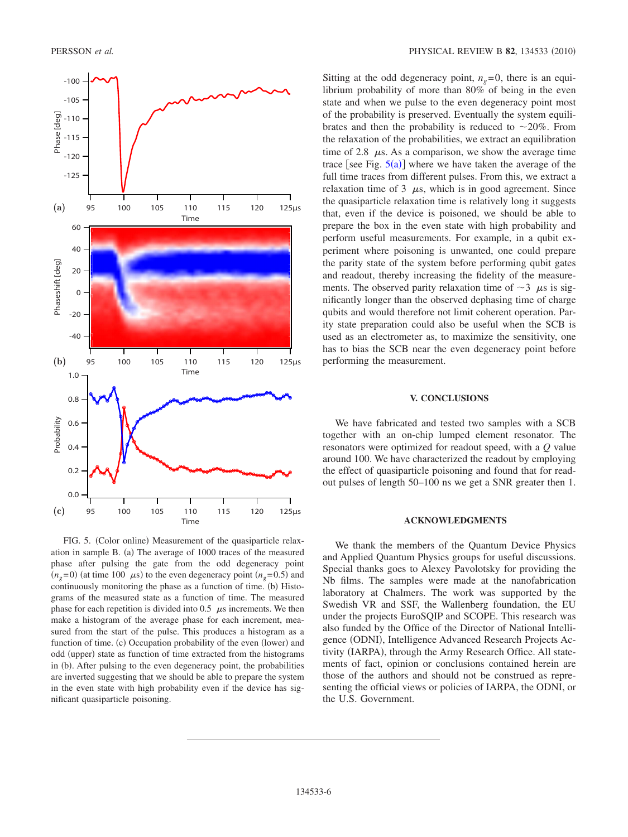<span id="page-5-0"></span>

FIG. 5. (Color online) Measurement of the quasiparticle relaxation in sample B. (a) The average of 1000 traces of the measured phase after pulsing the gate from the odd degeneracy point  $(n_g=0)$  (at time 100  $\mu$ s) to the even degeneracy point  $(n_g=0.5)$  and continuously monitoring the phase as a function of time. (b) Histograms of the measured state as a function of time. The measured phase for each repetition is divided into 0.5  $\mu$ s increments. We then make a histogram of the average phase for each increment, measured from the start of the pulse. This produces a histogram as a function of time. (c) Occupation probability of the even (lower) and odd (upper) state as function of time extracted from the histograms in (b). After pulsing to the even degeneracy point, the probabilities are inverted suggesting that we should be able to prepare the system in the even state with high probability even if the device has significant quasiparticle poisoning.

Sitting at the odd degeneracy point,  $n_e = 0$ , there is an equilibrium probability of more than 80% of being in the even state and when we pulse to the even degeneracy point most of the probability is preserved. Eventually the system equilibrates and then the probability is reduced to  $\sim$ 20%. From the relaxation of the probabilities, we extract an equilibration time of 2.8  $\mu$ s. As a comparison, we show the average time trace [see Fig.  $5(a)$  $5(a)$ ] where we have taken the average of the full time traces from different pulses. From this, we extract a relaxation time of  $3 \mu s$ , which is in good agreement. Since the quasiparticle relaxation time is relatively long it suggests that, even if the device is poisoned, we should be able to prepare the box in the even state with high probability and perform useful measurements. For example, in a qubit experiment where poisoning is unwanted, one could prepare the parity state of the system before performing qubit gates and readout, thereby increasing the fidelity of the measurements. The observed parity relaxation time of  $\sim$ 3  $\mu$ s is significantly longer than the observed dephasing time of charge qubits and would therefore not limit coherent operation. Parity state preparation could also be useful when the SCB is used as an electrometer as, to maximize the sensitivity, one has to bias the SCB near the even degeneracy point before performing the measurement.

# **V. CONCLUSIONS**

We have fabricated and tested two samples with a SCB together with an on-chip lumped element resonator. The resonators were optimized for readout speed, with a *Q* value around 100. We have characterized the readout by employing the effect of quasiparticle poisoning and found that for readout pulses of length 50–100 ns we get a SNR greater then 1.

## **ACKNOWLEDGMENTS**

We thank the members of the Quantum Device Physics and Applied Quantum Physics groups for useful discussions. Special thanks goes to Alexey Pavolotsky for providing the Nb films. The samples were made at the nanofabrication laboratory at Chalmers. The work was supported by the Swedish VR and SSF, the Wallenberg foundation, the EU under the projects EuroSQIP and SCOPE. This research was also funded by the Office of the Director of National Intelligence (ODNI), Intelligence Advanced Research Projects Activity (IARPA), through the Army Research Office. All statements of fact, opinion or conclusions contained herein are those of the authors and should not be construed as representing the official views or policies of IARPA, the ODNI, or the U.S. Government.